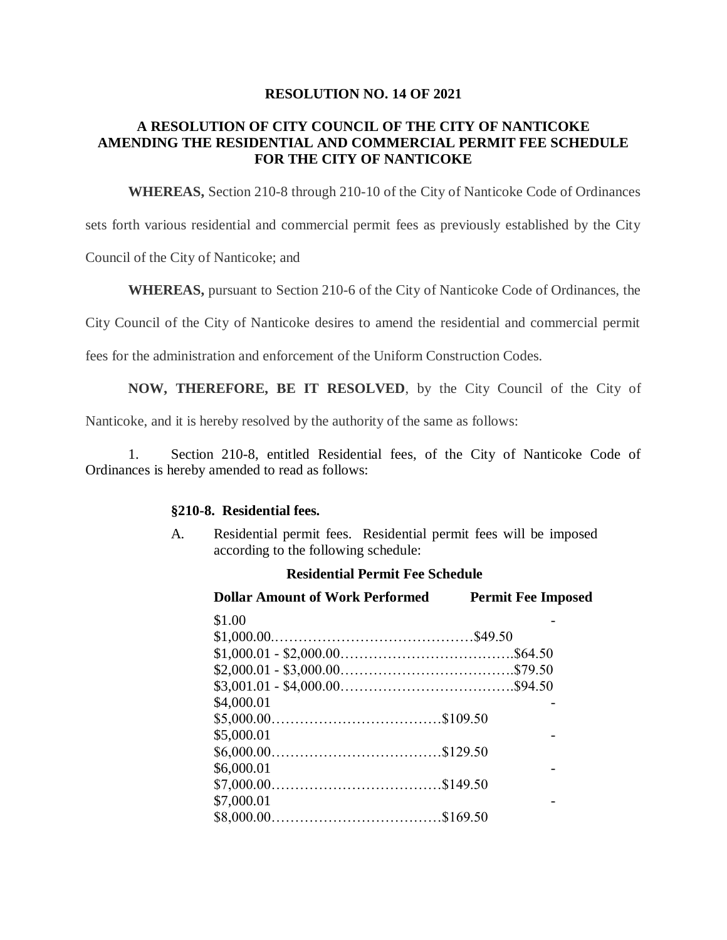### **RESOLUTION NO. 14 OF 2021**

# **A RESOLUTION OF CITY COUNCIL OF THE CITY OF NANTICOKE AMENDING THE RESIDENTIAL AND COMMERCIAL PERMIT FEE SCHEDULE FOR THE CITY OF NANTICOKE**

**WHEREAS,** Section 210-8 through 210-10 of the City of Nanticoke Code of Ordinances

sets forth various residential and commercial permit fees as previously established by the City

Council of the City of Nanticoke; and

**WHEREAS,** pursuant to Section 210-6 of the City of Nanticoke Code of Ordinances, the

City Council of the City of Nanticoke desires to amend the residential and commercial permit

fees for the administration and enforcement of the Uniform Construction Codes.

**NOW, THEREFORE, BE IT RESOLVED**, by the City Council of the City of

Nanticoke, and it is hereby resolved by the authority of the same as follows:

1. Section 210-8, entitled Residential fees, of the City of Nanticoke Code of Ordinances is hereby amended to read as follows:

## **§210-8. Residential fees.**

A. Residential permit fees. Residential permit fees will be imposed according to the following schedule:

#### **Residential Permit Fee Schedule**

| <b>Dollar Amount of Work Performed</b> | <b>Permit Fee Imposed</b> |
|----------------------------------------|---------------------------|
| \$1.00                                 |                           |
|                                        |                           |
|                                        |                           |
|                                        |                           |
|                                        |                           |
| \$4,000.01                             |                           |
|                                        |                           |
| \$5,000.01                             |                           |
|                                        |                           |
| \$6,000.01                             |                           |
|                                        |                           |
| \$7,000.01                             |                           |
|                                        |                           |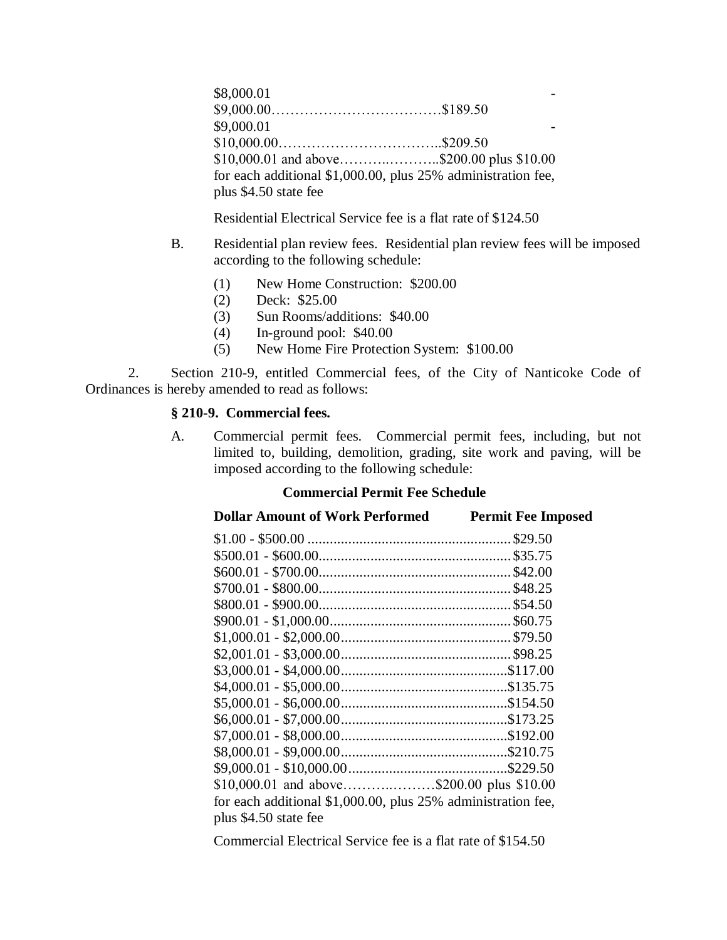\$8,000.01 \$9,000.00………………………………\$189.50  $$9,000.01$ \$10,000.00……………………………..\$209.50 \$10,000.01 and above………..………..\$200.00 plus \$10.00 for each additional \$1,000.00, plus 25% administration fee, plus \$4.50 state fee

Residential Electrical Service fee is a flat rate of \$124.50

- B. Residential plan review fees. Residential plan review fees will be imposed according to the following schedule:
	- (1) New Home Construction: \$200.00
	- (2) Deck: \$25.00
	- (3) Sun Rooms/additions: \$40.00
	- (4) In-ground pool: \$40.00
	- (5) New Home Fire Protection System: \$100.00

2. Section 210-9, entitled Commercial fees, of the City of Nanticoke Code of Ordinances is hereby amended to read as follows:

### **§ 210-9. Commercial fees.**

A. Commercial permit fees. Commercial permit fees, including, but not limited to, building, demolition, grading, site work and paving, will be imposed according to the following schedule:

# **Commercial Permit Fee Schedule**

| <b>Dollar Amount of Work Performed</b>                       | <b>Permit Fee Imposed</b> |
|--------------------------------------------------------------|---------------------------|
|                                                              |                           |
|                                                              |                           |
|                                                              |                           |
|                                                              |                           |
|                                                              |                           |
|                                                              |                           |
|                                                              |                           |
|                                                              |                           |
|                                                              |                           |
|                                                              |                           |
|                                                              |                           |
|                                                              |                           |
|                                                              |                           |
|                                                              |                           |
|                                                              |                           |
| $$10,000.01$ and above\$200.00 plus \$10.00                  |                           |
| for each additional \$1,000.00, plus 25% administration fee, |                           |
| plus \$4.50 state fee                                        |                           |

Commercial Electrical Service fee is a flat rate of \$154.50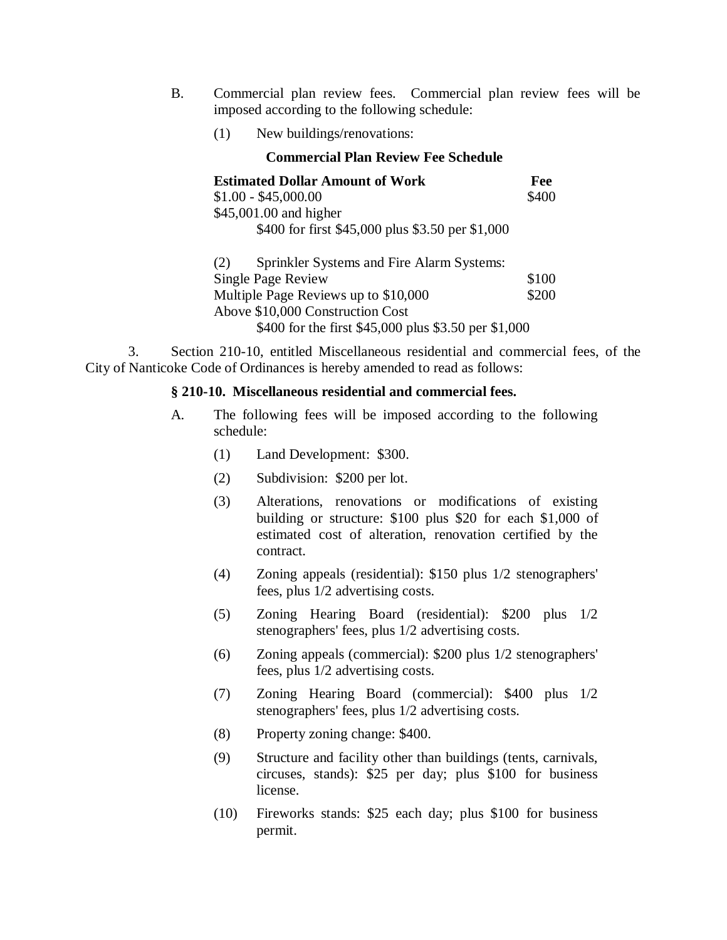- B. Commercial plan review fees. Commercial plan review fees will be imposed according to the following schedule:
	- (1) New buildings/renovations:

| <b>Commercial Plan Review Fee Schedule</b>           |       |  |
|------------------------------------------------------|-------|--|
| <b>Estimated Dollar Amount of Work</b>               | Fee   |  |
| $$1.00 - $45,000.00$                                 | \$400 |  |
| \$45,001.00 and higher                               |       |  |
| \$400 for first \$45,000 plus \$3.50 per \$1,000     |       |  |
| Sprinkler Systems and Fire Alarm Systems:<br>(2)     |       |  |
| Single Page Review                                   | \$100 |  |
| Multiple Page Reviews up to \$10,000                 | \$200 |  |
| Above \$10,000 Construction Cost                     |       |  |
| \$400 for the first \$45,000 plus \$3.50 per \$1,000 |       |  |

3. Section 210-10, entitled Miscellaneous residential and commercial fees, of the City of Nanticoke Code of Ordinances is hereby amended to read as follows:

## **§ 210-10. Miscellaneous residential and commercial fees.**

- A. The following fees will be imposed according to the following schedule:
	- (1) Land Development: \$300.
	- (2) Subdivision: \$200 per lot.
	- (3) Alterations, renovations or modifications of existing building or structure: \$100 plus \$20 for each \$1,000 of estimated cost of alteration, renovation certified by the contract.
	- (4) Zoning appeals (residential): \$150 plus 1/2 stenographers' fees, plus 1/2 advertising costs.
	- (5) Zoning Hearing Board (residential): \$200 plus 1/2 stenographers' fees, plus 1/2 advertising costs.
	- (6) Zoning appeals (commercial): \$200 plus 1/2 stenographers' fees, plus 1/2 advertising costs.
	- (7) Zoning Hearing Board (commercial): \$400 plus 1/2 stenographers' fees, plus 1/2 advertising costs.
	- (8) Property zoning change: \$400.
	- (9) Structure and facility other than buildings (tents, carnivals, circuses, stands): \$25 per day; plus \$100 for business license.
	- (10) Fireworks stands: \$25 each day; plus \$100 for business permit.